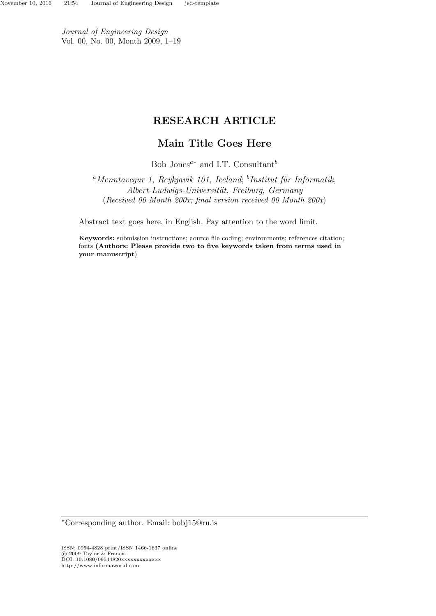Journal of Engineering Design Vol. 00, No. 00, Month 2009, 1–19

# RESEARCH ARTICLE

# Main Title Goes Here

Bob Jones<sup> $a*$ </sup> and I.T. Consultant<sup>b</sup>

<sup>a</sup>Menntavegur 1, Reykjavik 101, Iceland; <sup>b</sup>Institut für Informatik,  $\label{thm:short-Ludwigs} Albert-Ludwigs-Universität, \; Freiburg, \; Germany$ (Received 00 Month 200x; final version received 00 Month 200x)

Abstract text goes here, in English. Pay attention to the word limit.

Keywords: submission instructions; aource file coding; environments; references citation; fonts (Authors: Please provide two to five keywords taken from terms used in your manuscript)

<sup>∗</sup>Corresponding author. Email: bobj15@ru.is

ISSN: 0954-4828 print/ISSN 1466-1837 online c 2009 Taylor & Francis DOI: 10.1080/09544820xxxxxxxxxxxxx http://www.informaworld.com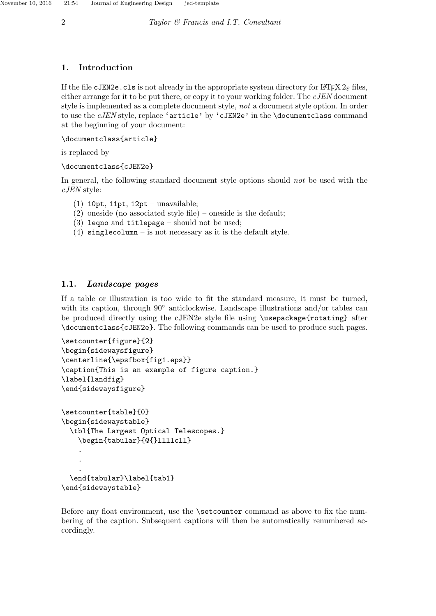# 1. Introduction

If the file cJEN2e.cls is not already in the appropriate system directory for LATEX  $2\epsilon$  files, either arrange for it to be put there, or copy it to your working folder. The cJEN document style is implemented as a complete document style, not a document style option. In order to use the *cJEN* style, replace 'article' by 'cJEN2e' in the \documentclass command at the beginning of your document:

\documentclass{article}

is replaced by

\documentclass{cJEN2e}

In general, the following standard document style options should not be used with the cJEN style:

- (1) 10pt, 11pt, 12pt unavailable;
- (2) oneside (no associated style file) oneside is the default;
- (3) leqno and titlepage should not be used;
- (4) singlecolumn is not necessary as it is the default style.

# 1.1. Landscape pages

If a table or illustration is too wide to fit the standard measure, it must be turned, with its caption, through 90◦ anticlockwise. Landscape illustrations and/or tables can be produced directly using the cJEN2e style file using \usepackage{rotating} after \documentclass{cJEN2e}. The following commands can be used to produce such pages.

```
\setcounter{figure}{2}
\begin{sidewaysfigure}
\centerline{\epsfbox{fig1.eps}}
\caption{This is an example of figure caption.}
\label{landfig}
\end{sidewaysfigure}
```

```
\setcounter{table}{0}
\begin{sidewaystable}
  \tbl{The Largest Optical Telescopes.}
    \begin{tabular}{@{}llllcll}
    .
    .
    .
  \end{tabular}\label{tab1}
```
\end{sidewaystable}

Before any float environment, use the \setcounter command as above to fix the numbering of the caption. Subsequent captions will then be automatically renumbered accordingly.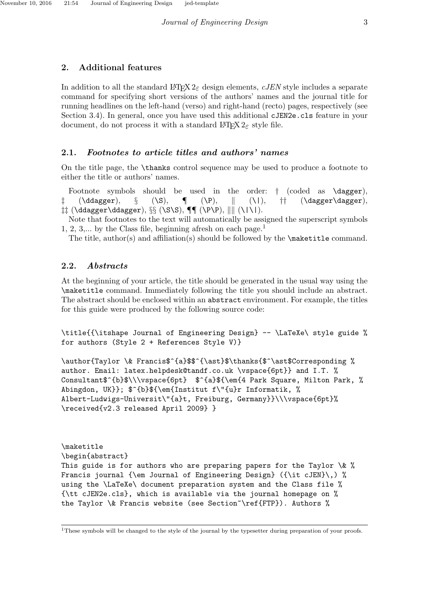### 2. Additional features

In addition to all the standard  $\text{LATEX } 2 \epsilon$  design elements, cJEN style includes a separate command for specifying short versions of the authors' names and the journal title for running headlines on the left-hand (verso) and right-hand (recto) pages, respectively (see Section 3.4). In general, once you have used this additional cJEN2e.cls feature in your document, do not process it with a standard  $\mathbb{F} \mathbb{F} X 2_{\epsilon}$  style file.

# 2.1. Footnotes to article titles and authors' names

On the title page, the \thanks control sequence may be used to produce a footnote to either the title or authors' names.

Footnote symbols should be used in the order:  $\dagger$  (coded as **\dagger**),  $(\text{dagger}), \quad \S \quad (\text{S}), \quad \P \quad (\text{V}), \quad \| \quad (\text{dagger} \quad \text{dagger})$  $\ddagger\ddagger$  (\ddagger\ddagger), §§ (\S\S), ¶¶ (\P\P),  $\|\|$  (\l\l).

Note that footnotes to the text will automatically be assigned the superscript symbols  $1, 2, 3,...$  by the Class file, beginning afresh on each page.<sup>1</sup>

The title, author(s) and affiliation(s) should be followed by the  $\mathtt{maketitle}\ command.$ 

### 2.2. Abstracts

At the beginning of your article, the title should be generated in the usual way using the \maketitle command. Immediately following the title you should include an abstract. The abstract should be enclosed within an abstract environment. For example, the titles for this guide were produced by the following source code:

```
\title{{\itshape Journal of Engineering Design} -- \LaTeXe\ style guide %
for authors (Style 2 + References Style V)}
```

```
\author{Taylor \& Francis$^{a}$$^{\ast}$\thanks{$^\ast$Corresponding %
author. Email: latex.helpdesk@tandf.co.uk \vspace{6pt}} and I.T. %
Consultant$^{b}$\\\vspace{6pt} $^{a}${\em{4 Park Square, Milton Park, %
Abingdon, UK}}; $^{b}${\em{Institut f\"{u}r Informatik, %
Albert-Ludwigs-Universit\"{a}t, Freiburg, Germany}}\\\vspace{6pt}%
\received{v2.3 released April 2009} }
```

```
\maketitle
\begin{abstract}
This guide is for authors who are preparing papers for the Taylor \& %
Francis journal {\em Journal of Engineering Design} ({\it cJEN}\,) %
using the \LaTeXe\ document preparation system and the Class file %
{\tt cJEN2e.cls}, which is available via the journal homepage on %
the Taylor \& Francis website (see Section~\ref{FTP}). Authors %
```
<sup>&</sup>lt;sup>1</sup>These symbols will be changed to the style of the journal by the typesetter during preparation of your proofs.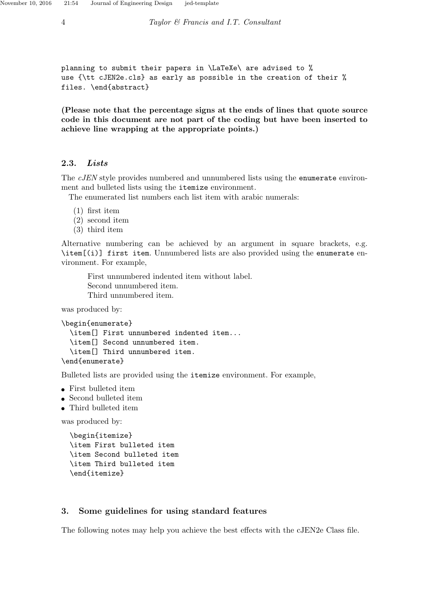```
planning to submit their papers in \LaTeXe\ are advised to %
use {\tt cJEN2e.cls} as early as possible in the creation of their %
files. \end{abstract}
```
(Please note that the percentage signs at the ends of lines that quote source code in this document are not part of the coding but have been inserted to achieve line wrapping at the appropriate points.)

#### 2.3. Lists

The cJEN style provides numbered and unnumbered lists using the enumerate environment and bulleted lists using the itemize environment.

The enumerated list numbers each list item with arabic numerals:

- (1) first item
- (2) second item
- (3) third item

Alternative numbering can be achieved by an argument in square brackets, e.g. \item[(i)] first item. Unnumbered lists are also provided using the enumerate environment. For example,

First unnumbered indented item without label. Second unnumbered item. Third unnumbered item.

was produced by:

```
\begin{enumerate}
  \item[] First unnumbered indented item...
  \item[] Second unnumbered item.
  \item[] Third unnumbered item.
\end{enumerate}
```
Bulleted lists are provided using the itemize environment. For example,

- First bulleted item
- Second bulleted item
- Third bulleted item

was produced by:

```
\begin{itemize}
\item First bulleted item
\item Second bulleted item
\item Third bulleted item
\end{itemize}
```
#### 3. Some guidelines for using standard features

The following notes may help you achieve the best effects with the cJEN2e Class file.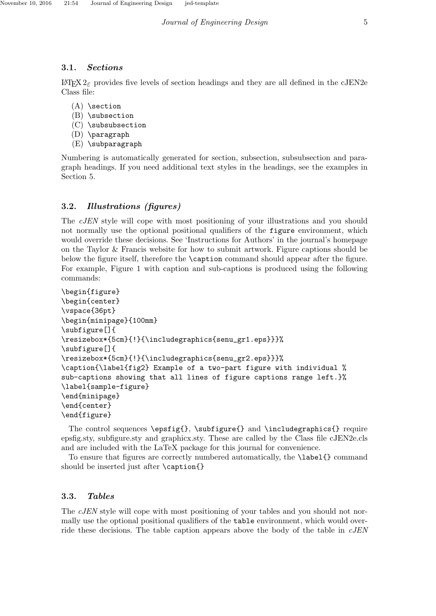## 3.1. Sections

 $\text{ETr } \Sigma_2$  provides five levels of section headings and they are all defined in the cJEN2e Class file:

- $(A)$  \section
- (B) \subsection
- (C) \subsubsection
- (D) \paragraph
- (E) \subparagraph

Numbering is automatically generated for section, subsection, subsubsection and paragraph headings. If you need additional text styles in the headings, see the examples in Section 5.

# 3.2. Illustrations (figures)

The cJEN style will cope with most positioning of your illustrations and you should not normally use the optional positional qualifiers of the figure environment, which would override these decisions. See 'Instructions for Authors' in the journal's homepage on the Taylor & Francis website for how to submit artwork. Figure captions should be below the figure itself, therefore the \caption command should appear after the figure. For example, Figure 1 with caption and sub-captions is produced using the following commands:

```
\begin{figure}
\begin{center}
\vspace{36pt}
\begin{minipage}{100mm}
\subfigure[]{
\resizebox*{5cm}{!}{\includegraphics{senu_gr1.eps}}}%
\subfigure[]{
\resizebox*{5cm}{!}{\includegraphics{senu_gr2.eps}}}%
\caption{\label{fig2} Example of a two-part figure with individual %
sub-captions showing that all lines of figure captions range left.}%
\label{sample-figure}
\end{minipage}
\end{center}
\end{figure}
```
The control sequences \epsfig{}, \subfigure{} and \includegraphics{} require epsfig.sty, subfigure.sty and graphicx.sty. These are called by the Class file cJEN2e.cls and are included with the LaTeX package for this journal for convenience.

To ensure that figures are correctly numbered automatically, the \label{} command should be inserted just after \caption{}

# 3.3. Tables

The *cJEN* style will cope with most positioning of your tables and you should not normally use the optional positional qualifiers of the table environment, which would override these decisions. The table caption appears above the body of the table in  $cJEN$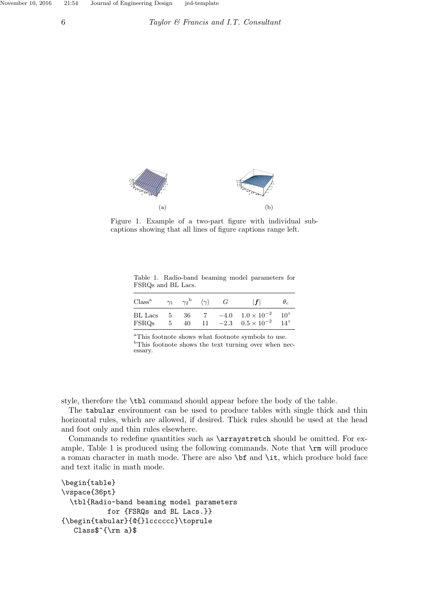

Figure 1. Example of a two-part figure with individual subcaptions showing that all lines of figure captions range left.

Table 1. Radio-band beaming model parameters for FSRQs and BL Lacs.

| $Class^a$               | $\gamma_1$ | $\gamma_2$ <sup>b</sup> | $\langle \gamma \rangle$ | G | f                                                          |                            |
|-------------------------|------------|-------------------------|--------------------------|---|------------------------------------------------------------|----------------------------|
| <b>BL</b> Lacs<br>FSROs | -5<br>5    | 36<br>40                | -11-                     |   | $-4.0$ $1.0 \times 10^{-2}$<br>$-2.3$ $0.5 \times 10^{-2}$ | $10^{\circ}$<br>$14^\circ$ |

<sup>a</sup>This footnote shows what footnote symbols to use.  $\mathrm{^{b}This}$  footnote shows the text turning over when necessary.

style, therefore the \tbl command should appear before the body of the table.

The tabular environment can be used to produce tables with single thick and thin horizontal rules, which are allowed, if desired. Thick rules should be used at the head and foot only and thin rules elsewhere.

Commands to redefine quantities such as \arraystretch should be omitted. For example, Table 1 is produced using the following commands. Note that  $\rm \pm \,$  will produce a roman character in math mode. There are also \bf and \it, which produce bold face and text italic in math mode.

```
\begin{table}
\vspace{36pt}
  \tbl{Radio-band beaming model parameters
           for {FSRQs and BL Lacs.}}
{\begin{tabular}{@{}lcccccc}\toprule
   Class$^{\rm a}$
```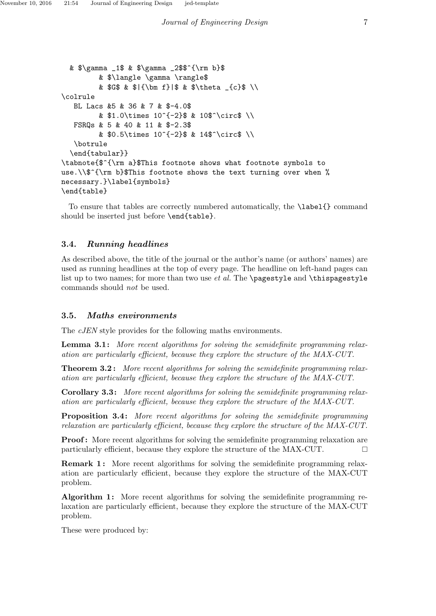```
& $\gamma _1$ & $\gamma _2$$^{\rm b}$
         & $\langle \gamma \rangle$
         & G$ & \{\bm{f}\ & \theta _{c} \\
\colrule
  BL Lacs &5 & 36 & 7 & $-4.0$
         & $1.0\times 10^{-{-2}}$ & 10$^\circ$ \\
  FSRQs & 5 & 40 & 11 & $-2.3$
         & $0.5\times 10^{-{-2}}$ & 14$^\circ$ \\
  \botrule
  \end{tabular}}
\tabnote{$^{\rm a}$This footnote shows what footnote symbols to
use.\\$^{\rm b}$This footnote shows the text turning over when %
necessary.}\label{symbols}
\end{table}
```
To ensure that tables are correctly numbered automatically, the \label{} command should be inserted just before \end{table}.

# 3.4. Running headlines

As described above, the title of the journal or the author's name (or authors' names) are used as running headlines at the top of every page. The headline on left-hand pages can list up to two names; for more than two use  $et$  al. The \pagestyle and \thispagestyle commands should not be used.

## 3.5. Maths environments

The *cJEN* style provides for the following maths environments.

**Lemma 3.1:** More recent algorithms for solving the semidefinite programming relaxation are particularly efficient, because they explore the structure of the MAX-CUT.

Theorem 3.2 : More recent algorithms for solving the semidefinite programming relaxation are particularly efficient, because they explore the structure of the MAX-CUT.

Corollary 3.3: More recent algorithms for solving the semidefinite programming relaxation are particularly efficient, because they explore the structure of the MAX-CUT.

Proposition 3.4 : More recent algorithms for solving the semidefinite programming relaxation are particularly efficient, because they explore the structure of the MAX-CUT.

**Proof:** More recent algorithms for solving the semidefinite programming relaxation are particularly efficient, because they explore the structure of the MAX-CUT.  $\Box$ 

**Remark 1:** More recent algorithms for solving the semidefinite programming relaxation are particularly efficient, because they explore the structure of the MAX-CUT problem.

Algorithm 1: More recent algorithms for solving the semidefinite programming relaxation are particularly efficient, because they explore the structure of the MAX-CUT problem.

These were produced by: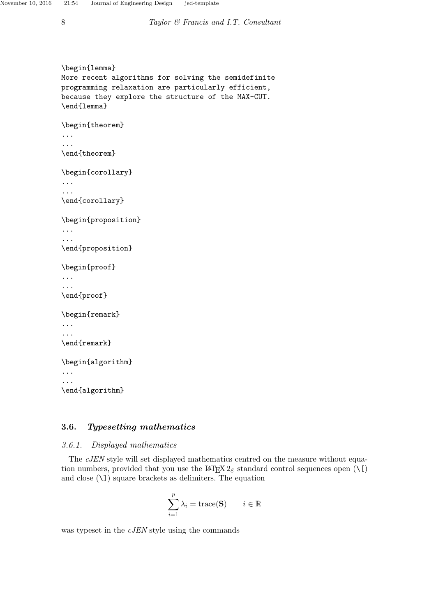```
\begin{lemma}
More recent algorithms for solving the semidefinite
programming relaxation are particularly efficient,
because they explore the structure of the MAX-CUT.
\end{lemma}
\begin{theorem}
...
...
\end{theorem}
\begin{corollary}
...
...
\end{corollary}
\begin{proposition}
...
...
\end{proposition}
\begin{proof}
...
...
\end{proof}
\begin{remark}
...
...
\end{remark}
\begin{algorithm}
...
...
\end{algorithm}
```
# 3.6. Typesetting mathematics

## 3.6.1. Displayed mathematics

The cJEN style will set displayed mathematics centred on the measure without equation numbers, provided that you use the LAT<sub>E</sub>X  $2_{\varepsilon}$  standard control sequences open (\[) and close (\]) square brackets as delimiters. The equation

$$
\sum_{i=1}^p \lambda_i = \text{trace}(\mathbf{S}) \qquad i \in \mathbb{R}
$$

was typeset in the cJEN style using the commands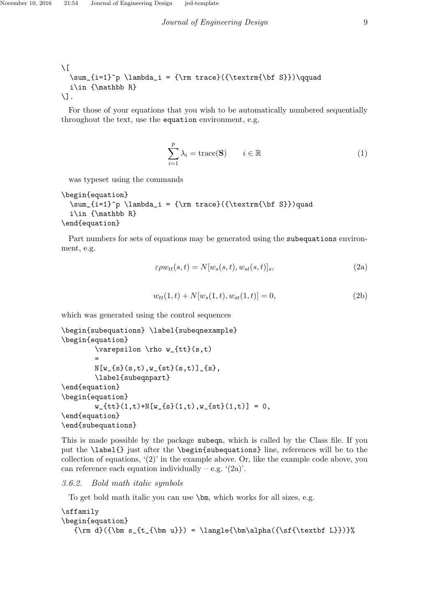```
\setminus [
  \sum_{i=1}^p \lambda_i = {\rm trace}({\text{text}}(bf S})\qquadqi\in {\mathbb R}
\setminus].
```
For those of your equations that you wish to be automatically numbered sequentially throughout the text, use the equation environment, e.g.

$$
\sum_{i=1}^{p} \lambda_i = \text{trace}(\mathbf{S}) \qquad i \in \mathbb{R} \tag{1}
$$

was typeset using the commands

```
\begin{equation}
  \sum_{i=1}^p \lambda_i = {\rm trace}({\text{text}}(bf S})\quadi\in {\mathbb R}
\end{equation}
```
Part numbers for sets of equations may be generated using the subequations environment, e.g.

$$
\varepsilon \rho w_{tt}(s,t) = N[w_s(s,t), w_{st}(s,t)]_s,\tag{2a}
$$

$$
w_{tt}(1,t) + N[w_s(1,t), w_{st}(1,t)] = 0,
$$
\n(2b)

which was generated using the control sequences

```
\begin{subequations} \label{subeqnexample}
\begin{equation}
        \varepsilon \rho w_{tt}(s,t)
        =
        N[w_{s}(s,t),w_{s}(st)(s,t)]_{s},\label{subeqnpart}
\end{equation}
\begin{equation}
        w_{-}{tt}(1,t)+N[w_{-}{s}(1,t),w_{-}{st}(1,t)] = 0,
\end{equation}
\end{subequations}
```
This is made possible by the package subeqn, which is called by the Class file. If you put the \label{} just after the \begin{subequations} line, references will be to the collection of equations, '(2)' in the example above. Or, like the example code above, you can reference each equation individually – e.g.  $(2a)$ .

#### 3.6.2. Bold math italic symbols

To get bold math italic you can use \bm, which works for all sizes, e.g.

```
\sffamily
\begin{equation}
   {\rm d}({\rm s_{t_{\bm u}}}) = \langle{\bm \alpha({\sf t}_{\textbf L}})\}\
```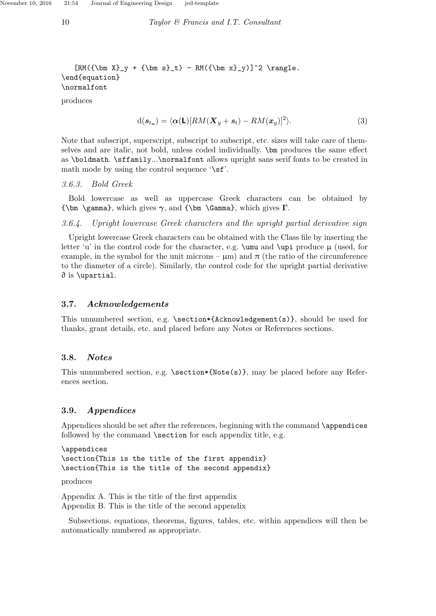$$
[RM({\bm x}_{y} + {\bm s}_{t}) - RM({\bm x}_{y})]^2 \rangle.
$$
\n
$$
\end{equation}
$$
\n
$$
\normalfont{normalfont\n }
$$
\n
$$
\normalfont{normalfont\n }
$$
\n
$$
\normalfont{restriction}
$$
\n
$$
\normalfont{restriction}
$$

$$
d(\mathbf{s}_{t_u}) = \langle \alpha(\mathsf{L})[RM(\mathbf{X}_y + \mathbf{s}_t) - RM(\mathbf{x}_y)]^2 \rangle. \tag{3}
$$

Note that subscript, superscript, subscript to subscript, etc. sizes will take care of themselves and are italic, not bold, unless coded individually. \bm produces the same effect as \boldmath. \sffamily...\normalfont allows upright sans serif fonts to be created in math mode by using the control sequence  $\sqrt{s}f$ .

#### 3.6.3. Bold Greek

Bold lowercase as well as uppercase Greek characters can be obtained by {\bm \gamma}, which gives  $\gamma$ , and {\bm \Gamma}, which gives  $\Gamma$ .

3.6.4. Upright lowercase Greek characters and the upright partial derivative sign

Upright lowercase Greek characters can be obtained with the Class file by inserting the letter 'u' in the control code for the character, e.g.  $\umu$  and  $\upmu$  produce  $\mu$  (used, for example, in the symbol for the unit microns –  $\mu$ m) and  $\pi$  (the ratio of the circumference to the diameter of a circle). Similarly, the control code for the upright partial derivative ∂ is \upartial.

### 3.7. Acknowledgements

This unnumbered section, e.g. \section\*{Acknowledgement(s)}, should be used for thanks, grant details, etc. and placed before any Notes or References sections.

### 3.8. Notes

This unnumbered section, e.g. \section\*{Note(s)}, may be placed before any References section.

#### 3.9. Appendices

Appendices should be set after the references, beginning with the command **\appendices** followed by the command **\section** for each appendix title, e.g.

\appendices \section{This is the title of the first appendix} \section{This is the title of the second appendix}

produces

Appendix A. This is the title of the first appendix Appendix B. This is the title of the second appendix

Subsections, equations, theorems, figures, tables, etc. within appendices will then be automatically numbered as appropriate.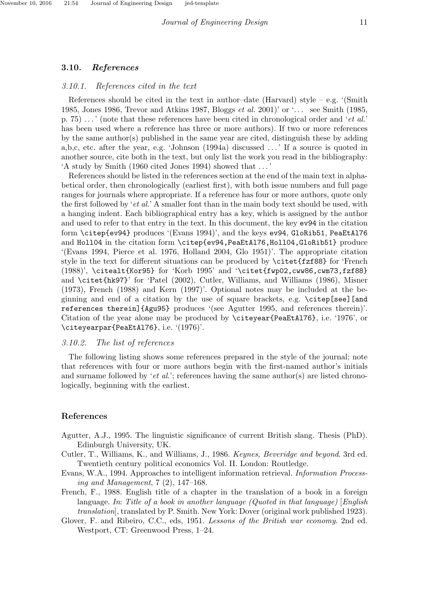### 3.10. References

#### 3.10.1. References cited in the text

References should be cited in the text in author–date (Harvard) style – e.g. '(Smith 1985, Jones 1986, Trevor and Atkins 1987, Bloggs et al. 2001)' or  $\ldots$  see Smith (1985, p. 75)  $\dots$  ' (note that these references have been cited in chronological order and '*et al.*' has been used where a reference has three or more authors). If two or more references by the same author(s) published in the same year are cited, distinguish these by adding a,b,c, etc. after the year, e.g. 'Johnson (1994a) discussed . . . ' If a source is quoted in another source, cite both in the text, but only list the work you read in the bibliography: 'A study by Smith (1960 cited Jones 1994) showed that . . . '

References should be listed in the references section at the end of the main text in alphabetical order, then chronologically (earliest first), with both issue numbers and full page ranges for journals where appropriate. If a reference has four or more authors, quote only the first followed by 'et al.' A smaller font than in the main body text should be used, with a hanging indent. Each bibliographical entry has a key, which is assigned by the author and used to refer to that entry in the text. In this document, the key ev94 in the citation form \citep{ev94} produces '(Evans 1994)', and the keys ev94, GloRib51, PeaEtAl76 and Holl04 in the citation form \citep{ev94,PeaEtAl76,Holl04,GloRib51} produce '(Evans 1994, Pierce et al. 1976, Holland 2004, Glo 1951)'. The appropriate citation style in the text for different situations can be produced by \citet{fzf88} for 'French (1988)', \citealt{Kor95} for 'Korb 1995' and '\citet{fwp02,cww86,cwm73,fzf88} and \citet{hk97}' for 'Patel (2002), Cutler, Williams, and Williams (1986), Misner (1973), French (1988) and Kern (1997)'. Optional notes may be included at the beginning and end of a citation by the use of square brackets, e.g. \citep[see][and references therein]{Agu95} produces '(see Agutter 1995, and references therein)'. Citation of the year alone may be produced by \citeyear{PeaEtAl76}, i.e. '1976', or \citeyearpar{PeaEtAl76}, i.e. '(1976)'.

#### 3.10.2. The list of references

The following listing shows some references prepared in the style of the journal; note that references with four or more authors begin with the first-named author's initials and surname followed by '*et al.*'; references having the same author(s) are listed chronologically, beginning with the earliest.

#### References

- Agutter, A.J., 1995. The linguistic significance of current British slang. Thesis (PhD). Edinburgh University, UK.
- Cutler, T., Williams, K., and Williams, J., 1986. Keynes, Beveridge and beyond. 3rd ed. Twentieth century political economics Vol. II. London: Routledge.
- Evans, W.A., 1994. Approaches to intelligent information retrieval. Information Processing and Management, 7 (2), 147–168.
- French, F., 1988. English title of a chapter in the translation of a book in a foreign language. In: Title of a book in another language (Quoted in that language) [English translation], translated by P. Smith. New York: Dover (original work published 1923).
- Glover, F. and Ribeiro, C.C., eds, 1951. Lessons of the British war economy. 2nd ed. Westport, CT: Greenwood Press, 1–24.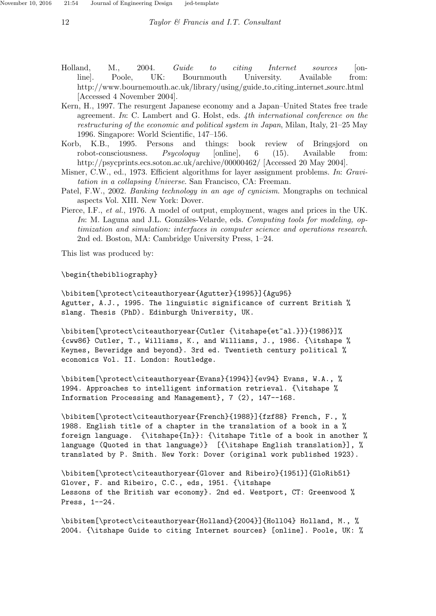- Holland, M., 2004. Guide to citing Internet sources [online]. Poole, UK: Bournmouth University. Available from: http://www.bournemouth.ac.uk/library/using/guide to citing internet sourc.html [Accessed 4 November 2004].
- Kern, H., 1997. The resurgent Japanese economy and a Japan–United States free trade agreement. In: C. Lambert and G. Holst, eds. 4th international conference on the restructuring of the economic and political system in Japan, Milan, Italy, 21–25 May 1996. Singapore: World Scientific, 147–156.
- Korb, K.B., 1995. Persons and things: book review of Bringsjord on robot-consciousness. Psycoloquy [online], 6 (15). Available from: http://psycprints.ecs.soton.ac.uk/archive/00000462/ [Accessed 20 May 2004].
- Misner, C.W., ed., 1973. Efficient algorithms for layer assignment problems. In: Gravitation in a collapsing Universe. San Francisco, CA: Freeman.
- Patel, F.W., 2002. Banking technology in an age of cynicism. Mongraphs on technical aspects Vol. XIII. New York: Dover.
- Pierce, I.F., et al., 1976. A model of output, employment, wages and prices in the UK. In: M. Laguna and J.L. Gonzáles-Velarde, eds. Computing tools for modeling, optimization and simulation: interfaces in computer science and operations research. 2nd ed. Boston, MA: Cambridge University Press, 1–24.

This list was produced by:

\begin{thebibliography}

\bibitem[\protect\citeauthoryear{Agutter}{1995}]{Agu95} Agutter, A.J., 1995. The linguistic significance of current British % slang. Thesis (PhD). Edinburgh University, UK.

\bibitem[\protect\citeauthoryear{Cutler {\itshape{et~al.}}}{1986}]% {cww86} Cutler, T., Williams, K., and Williams, J., 1986. {\itshape % Keynes, Beveridge and beyond}. 3rd ed. Twentieth century political % economics Vol. II. London: Routledge.

\bibitem[\protect\citeauthoryear{Evans}{1994}]{ev94} Evans, W.A., % 1994. Approaches to intelligent information retrieval. {\itshape % Information Processing and Management}, 7 (2), 147--168.

\bibitem[\protect\citeauthoryear{French}{1988}]{fzf88} French, F., % 1988. English title of a chapter in the translation of a book in a % foreign language. {\itshape{In}}: {\itshape Title of a book in another % language (Quoted in that language)} [{\itshape English translation}], % translated by P. Smith. New York: Dover (original work published 1923).

\bibitem[\protect\citeauthoryear{Glover and Ribeiro}{1951}]{GloRib51} Glover, F. and Ribeiro, C.C., eds, 1951. {\itshape Lessons of the British war economy}. 2nd ed. Westport, CT: Greenwood % Press, 1--24.

\bibitem[\protect\citeauthoryear{Holland}{2004}]{Holl04} Holland, M., % 2004. {\itshape Guide to citing Internet sources} [online]. Poole, UK: %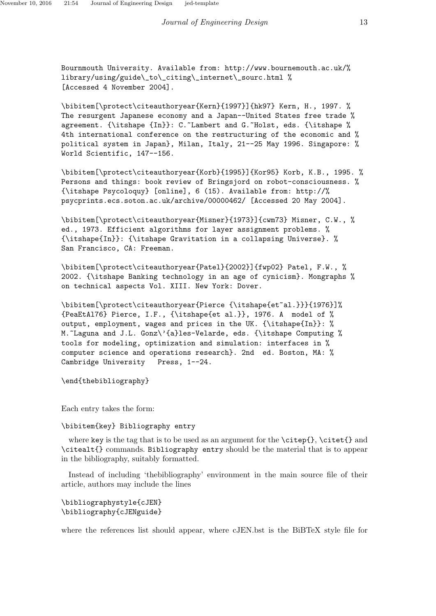Bournmouth University. Available from: http://www.bournemouth.ac.uk/% library/using/guide\\_to\\_citing\\_internet\\_sourc.html % [Accessed 4 November 2004].

\bibitem[\protect\citeauthoryear{Kern}{1997}]{hk97} Kern, H., 1997. % The resurgent Japanese economy and a Japan--United States free trade % agreement. {\itshape {In}}: C.~Lambert and G.~Holst, eds. {\itshape % 4th international conference on the restructuring of the economic and % political system in Japan}, Milan, Italy, 21--25 May 1996. Singapore: % World Scientific, 147--156.

\bibitem[\protect\citeauthoryear{Korb}{1995}]{Kor95} Korb, K.B., 1995. % Persons and things: book review of Bringsjord on robot-consciousness. % {\itshape Psycoloquy} [online], 6 (15). Available from: http://% psycprints.ecs.soton.ac.uk/archive/00000462/ [Accessed 20 May 2004].

\bibitem[\protect\citeauthoryear{Misner}{1973}]{cwm73} Misner, C.W., % ed., 1973. Efficient algorithms for layer assignment problems. % {\itshape{In}}: {\itshape Gravitation in a collapsing Universe}. % San Francisco, CA: Freeman.

\bibitem[\protect\citeauthoryear{Patel}{2002}]{fwp02} Patel, F.W., % 2002. {\itshape Banking technology in an age of cynicism}. Mongraphs % on technical aspects Vol. XIII. New York: Dover.

\bibitem[\protect\citeauthoryear{Pierce {\itshape{et~al.}}}{1976}]% {PeaEtAl76} Pierce, I.F., {\itshape{et al.}}, 1976. A model of % output, employment, wages and prices in the UK. {\itshape{In}}: % M. Laguna and J.L. Gonz\'{a}les-Velarde, eds. {\itshape Computing % tools for modeling, optimization and simulation: interfaces in % computer science and operations research}. 2nd ed. Boston, MA: % Cambridge University Press, 1--24.

\end{thebibliography}

Each entry takes the form:

#### \bibitem{key} Bibliography entry

where key is the tag that is to be used as an argument for the  $\cite{}, \cite{}$  and \citealt{} commands. Bibliography entry should be the material that is to appear in the bibliography, suitably formatted.

Instead of including 'thebibliography' environment in the main source file of their article, authors may include the lines

\bibliographystyle{cJEN} \bibliography{cJENguide}

where the references list should appear, where cJEN.bst is the BiBTeX style file for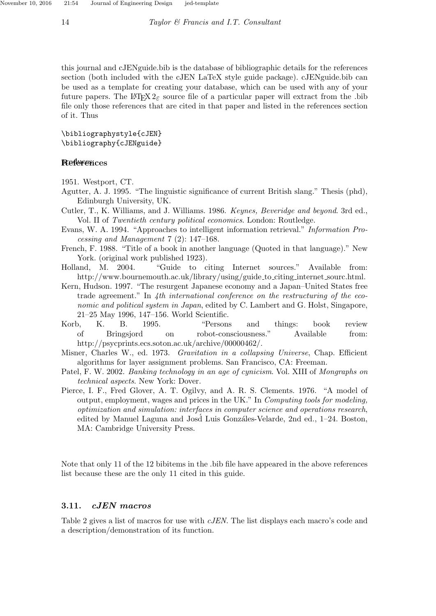this journal and cJENguide.bib is the database of bibliographic details for the references section (both included with the cJEN LaTeX style guide package). cJENguide.bib can be used as a template for creating your database, which can be used with any of your future papers. The LATEX  $2\varepsilon$  source file of a particular paper will extract from the .bib file only those references that are cited in that paper and listed in the references section of it. Thus

\bibliographystyle{cJEN} \bibliography{cJENguide}

#### **References**

1951. Westport, CT.

- Agutter, A. J. 1995. "The linguistic significance of current British slang." Thesis (phd), Edinburgh University, UK.
- Cutler, T., K. Williams, and J. Williams. 1986. Keynes, Beveridge and beyond. 3rd ed., Vol. II of Twentieth century political economics. London: Routledge.
- Evans, W. A. 1994. "Approaches to intelligent information retrieval." Information Processing and Management 7 (2): 147–168.
- French, F. 1988. "Title of a book in another language (Quoted in that language)." New York. (original work published 1923).
- Holland, M. 2004. "Guide to citing Internet sources." Available from: http://www.bournemouth.ac.uk/library/using/guide to citing internet sourc.html.
- Kern, Hudson. 1997. "The resurgent Japanese economy and a Japan–United States free trade agreement." In 4th international conference on the restructuring of the economic and political system in Japan, edited by C. Lambert and G. Holst, Singapore, 21–25 May 1996, 147–156. World Scientific.
- Korb, K. B. 1995. "Persons and things: book review of Bringsjord on robot-consciousness." Available from: http://psycprints.ecs.soton.ac.uk/archive/00000462/.
- Misner, Charles W., ed. 1973. Gravitation in a collapsing Universe, Chap. Efficient algorithms for layer assignment problems. San Francisco, CA: Freeman.
- Patel, F. W. 2002. Banking technology in an age of cynicism. Vol. XIII of Mongraphs on technical aspects. New York: Dover.
- Pierce, I. F., Fred Glover, A. T. Ogilvy, and A. R. S. Clements. 1976. "A model of output, employment, wages and prices in the UK." In Computing tools for modeling, optimization and simulation: interfaces in computer science and operations research, edited by Manuel Laguna and Josd Luis Gonzáles-Velarde, 2nd ed., 1–24. Boston, MA: Cambridge University Press.

Note that only 11 of the 12 bibitems in the .bib file have appeared in the above references list because these are the only 11 cited in this guide.

#### 3.11. cJEN macros

Table 2 gives a list of macros for use with cJEN. The list displays each macro's code and a description/demonstration of its function.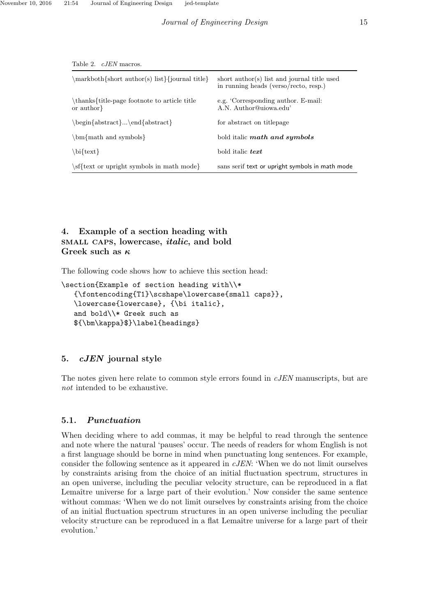| 10010 2. 00131 11100100.                                  |                                                                                      |  |  |
|-----------------------------------------------------------|--------------------------------------------------------------------------------------|--|--|
| \markboth{short author(s) list}{journal title}            | short author(s) list and journal title used<br>in running heads (verso/recto, resp.) |  |  |
| \thanks{title-page footnote to article title<br>or author | e.g. 'Corresponding author. E-mail:<br>A.N. Author@uiowa.edu'                        |  |  |
| $\begin{array}{c}\n\begin{array}{c}\n\end{array}$         | for abstract on titlepage                                                            |  |  |
| $\bm{\mathcal{L}}$ math and symbols $\bm{\mathcal{L}}$    | bold italic math and symbols                                                         |  |  |
| \bi{text}                                                 | bold italic <i>text</i>                                                              |  |  |
| \sf{text or upright symbols in math mode}                 | sans serif text or upright symbols in math mode                                      |  |  |

Table 2. cJEN macros.

# 4. Example of a section heading with small caps, lowercase, italic, and bold Greek such as  $\kappa$

The following code shows how to achieve this section head:

```
\section{Example of section heading with\\*
   {\fontencoding{T1}\scshape\lowercase{small caps}},
   \lowercase{lowercase}, {\bi italic},
   and bold\\* Greek such as
   ${\bm\kappa}$}\label{headings}
```
### 5. *cJEN* journal style

The notes given here relate to common style errors found in *cJEN* manuscripts, but are not intended to be exhaustive.

#### 5.1. Punctuation

When deciding where to add commas, it may be helpful to read through the sentence and note where the natural 'pauses' occur. The needs of readers for whom English is not a first language should be borne in mind when punctuating long sentences. For example, consider the following sentence as it appeared in cJEN: 'When we do not limit ourselves by constraints arising from the choice of an initial fluctuation spectrum, structures in an open universe, including the peculiar velocity structure, can be reproduced in a flat Lemaître universe for a large part of their evolution.' Now consider the same sentence without commas: 'When we do not limit ourselves by constraints arising from the choice of an initial fluctuation spectrum structures in an open universe including the peculiar velocity structure can be reproduced in a flat Lemaître universe for a large part of their evolution.'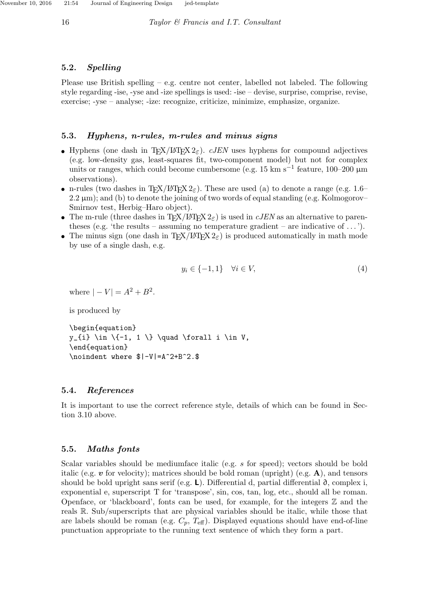### 5.2. Spelling

Please use British spelling – e.g. centre not center, labelled not labeled. The following style regarding -ise, -yse and -ize spellings is used: -ise – devise, surprise, comprise, revise, exercise; -yse – analyse; -ize: recognize, criticize, minimize, emphasize, organize.

### 5.3. Hyphens, n-rules, m-rules and minus signs

- Hyphens (one dash in T<sub>EX</sub>/LAT<sub>EX</sub> 2<sub> $\epsilon$ </sub>). cJEN uses hyphens for compound adjectives (e.g. low-density gas, least-squares fit, two-component model) but not for complex units or ranges, which could become cumbersome (e.g. 15 km s−<sup>1</sup> feature, 100–200 µm observations).
- n-rules (two dashes in T<sub>E</sub>X/LAT<sub>E</sub>X  $2\varepsilon$ ). These are used (a) to denote a range (e.g. 1.6–  $2.2 \,\mu\text{m}$ ); and (b) to denote the joining of two words of equal standing (e.g. Kolmogorov– Smirnov test, Herbig–Haro object).
- The m-rule (three dashes in T<sub>EX</sub>/LAT<sub>EX</sub>  $2\varepsilon$ ) is used in cJEN as an alternative to parentheses (e.g. 'the results – assuming no temperature gradient – are indicative of  $\dots$ ').
- The minus sign (one dash in TFX/LATEX  $2\epsilon$ ) is produced automatically in math mode by use of a single dash, e.g.

$$
y_i \in \{-1, 1\} \quad \forall i \in V,\tag{4}
$$

where  $|-V| = A^2 + B^2$ .

is produced by

```
\begin{equation}
y_{i} \in \{-1, 1 \} \quad \text{for all } i \in V,\end{equation}
\noindent where $|-V|=A^2+B^2.$
```
#### 5.4. References

It is important to use the correct reference style, details of which can be found in Section 3.10 above.

## 5.5. Maths fonts

Scalar variables should be mediumface italic (e.g. s for speed); vectors should be bold italic (e.g.  $\boldsymbol{v}$  for velocity); matrices should be bold roman (upright) (e.g.  $\boldsymbol{A}$ ), and tensors should be bold upright sans serif (e.g. L). Differential d, partial differential  $\partial$ , complex i, exponential e, superscript T for 'transpose', sin, cos, tan, log, etc., should all be roman. Openface, or 'blackboard', fonts can be used, for example, for the integers  $\mathbb Z$  and the reals R. Sub/superscripts that are physical variables should be italic, while those that are labels should be roman (e.g.  $C_p$ ,  $T_{\text{eff}}$ ). Displayed equations should have end-of-line punctuation appropriate to the running text sentence of which they form a part.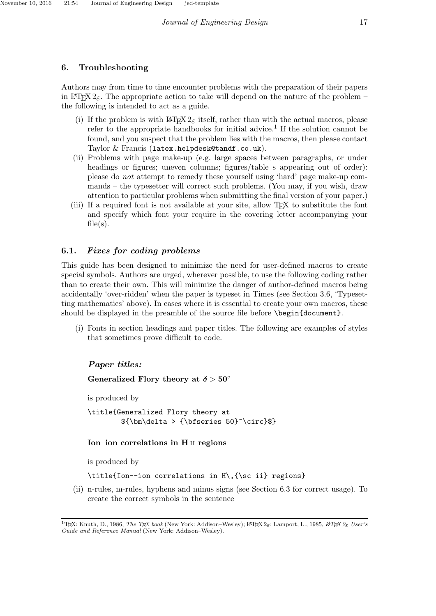# 6. Troubleshooting

Authors may from time to time encounter problems with the preparation of their papers in LAT<sub>EX</sub>  $2\varepsilon$ . The appropriate action to take will depend on the nature of the problem – the following is intended to act as a guide.

- (i) If the problem is with LAT<sub>EX</sub> 2<sub> $\epsilon$ </sub> itself, rather than with the actual macros, please refer to the appropriate handbooks for initial advice.<sup>1</sup> If the solution cannot be found, and you suspect that the problem lies with the macros, then please contact Taylor & Francis (latex.helpdesk@tandf.co.uk).
- (ii) Problems with page make-up (e.g. large spaces between paragraphs, or under headings or figures; uneven columns; figures/table s appearing out of order): please do not attempt to remedy these yourself using 'hard' page make-up commands – the typesetter will correct such problems. (You may, if you wish, draw attention to particular problems when submitting the final version of your paper.)
- (iii) If a required font is not available at your site, allow TEX to substitute the font and specify which font your require in the covering letter accompanying your  $file(s)$ .

# 6.1. Fixes for coding problems

This guide has been designed to minimize the need for user-defined macros to create special symbols. Authors are urged, wherever possible, to use the following coding rather than to create their own. This will minimize the danger of author-defined macros being accidentally 'over-ridden' when the paper is typeset in Times (see Section 3.6, 'Typesetting mathematics' above). In cases where it is essential to create your own macros, these should be displayed in the preamble of the source file before \begin{document}.

(i) Fonts in section headings and paper titles. The following are examples of styles that sometimes prove difficult to code.

# Paper titles:

# Generalized Flory theory at  $\delta > 50^{\circ}$

is produced by

\title{Generalized Flory theory at  ${\bm \delta > {\bf s} = 50}^{\circ}$ 

# Ion–ion correlations in H ii regions

is produced by

\title{Ion--ion correlations in H\,{\sc ii} regions}

(ii) n-rules, m-rules, hyphens and minus signs (see Section 6.3 for correct usage). To create the correct symbols in the sentence

<sup>&</sup>lt;sup>1</sup>TEX: Knuth, D., 1986, *The TEX book* (New York: Addison–Wesley); LATEX 2<sub>ε</sub>: Lamport, L., 1985, LATEX 2<sub>ε</sub> User's Guide and Reference Manual (New York: Addison–Wesley).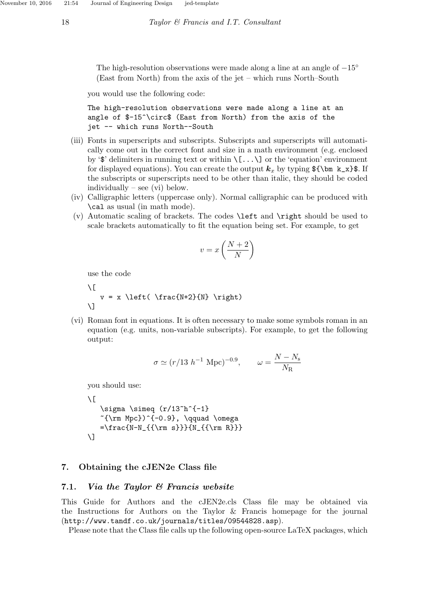The high-resolution observations were made along a line at an angle of  $-15°$ (East from North) from the axis of the jet – which runs North–South

you would use the following code:

```
The high-resolution observations were made along a line at an
angle of $-15^\circ$ (East from North) from the axis of the
jet -- which runs North--South
```
- (iii) Fonts in superscripts and subscripts. Subscripts and superscripts will automatically come out in the correct font and size in a math environment (e.g. enclosed by ' $\mathcal{F}$ ' delimiters in running text or within  $\langle [\ldots \rangle]$  or the 'equation' environment for displayed equations). You can create the output  $k_x$  by typing  $\{\mathcal{F}\}\$ . If the subscripts or superscripts need to be other than italic, they should be coded individually – see (vi) below.
- (iv) Calligraphic letters (uppercase only). Normal calligraphic can be produced with \cal as usual (in math mode).
- (v) Automatic scaling of brackets. The codes \left and \right should be used to scale brackets automatically to fit the equation being set. For example, to get

$$
v = x \left(\frac{N+2}{N}\right)
$$

use the code

 $\sqrt{ }$  $v = x \left( \frac{N+2}{N} \right)$  $\lambda$ ]

(vi) Roman font in equations. It is often necessary to make some symbols roman in an equation (e.g. units, non-variable subscripts). For example, to get the following output:

$$
\sigma \simeq (r/13 \ h^{-1} \ \text{Mpc})^{-0.9}, \qquad \omega = \frac{N - N_{\rm s}}{N_{\rm R}}
$$

you should use:

```
\setminus [
   \sigma \sim (r/13^h^{-1})\text{\{rm Mpc}}^{\{-0.9\}, \qquad \omega=\frac{N-N_{\rm s}}{N_{\rm R}}\setminus]
```
### 7. Obtaining the cJEN2e Class file

#### 7.1. Via the Taylor & Francis website

This Guide for Authors and the cJEN2e.cls Class file may be obtained via the Instructions for Authors on the Taylor & Francis homepage for the journal (http://www.tandf.co.uk/journals/titles/09544828.asp).

Please note that the Class file calls up the following open-source LaTeX packages, which